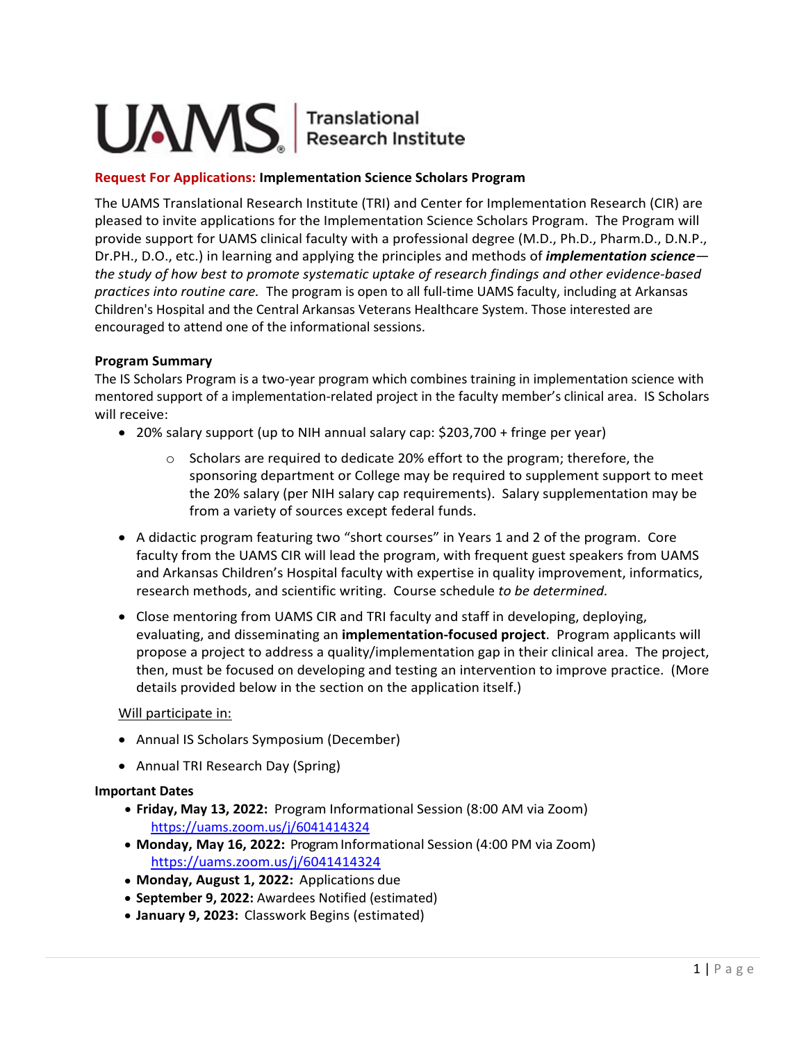# UAMS | Translational

### **Request For Applications: Implementation Science Scholars Program**

The UAMS Translational Research Institute (TRI) and Center for Implementation Research (CIR) are pleased to invite applications for the Implementation Science Scholars Program. The Program will provide support for UAMS clinical faculty with a professional degree (M.D., Ph.D., Pharm.D., D.N.P., Dr.PH., D.O., etc.) in learning and applying the principles and methods of *implementation science the study of how best to promote systematic uptake of research findings and other evidence-based practices into routine care.* The program is open to all full-time UAMS faculty, including at Arkansas Children's Hospital and the Central Arkansas Veterans Healthcare System. Those interested are encouraged to attend one of the informational sessions.

#### **Program Summary**

The IS Scholars Program is a two-year program which combines training in implementation science with mentored support of a implementation-related project in the faculty member's clinical area. IS Scholars will receive:

- 20% salary support (up to NIH annual salary cap: \$203,700 + fringe per year)
	- $\circ$  Scholars are required to dedicate 20% effort to the program; therefore, the sponsoring department or College may be required to supplement support to meet the 20% salary (per NIH salary cap requirements). Salary supplementation may be from a variety of sources except federal funds.
- A didactic program featuring two "short courses" in Years 1 and 2 of the program. Core faculty from the UAMS CIR will lead the program, with frequent guest speakers from UAMS and Arkansas Children's Hospital faculty with expertise in quality improvement, informatics, research methods, and scientific writing. Course schedule *to be determined.*
- Close mentoring from UAMS CIR and TRI faculty and staff in developing, deploying, evaluating, and disseminating an **implementation-focused project**. Program applicants will propose a project to address a quality/implementation gap in their clinical area. The project, then, must be focused on developing and testing an intervention to improve practice. (More details provided below in the section on the application itself.)

#### Will participate in:

- Annual IS Scholars Symposium (December)
- Annual TRI Research Day (Spring)

#### **Important Dates**

- **Friday, May 13, 2022:** Program Informational Session (8:00 AM via Zoom) <https://uams.zoom.us/j/6041414324>
- **Monday, May 16, 2022:** Program Informational Session (4:00 PM via Zoom) <https://uams.zoom.us/j/6041414324>
- **Monday, August 1, 2022:** Applications due
- **September 9, 2022:** Awardees Notified (estimated)
- **January 9, 2023:** Classwork Begins (estimated)